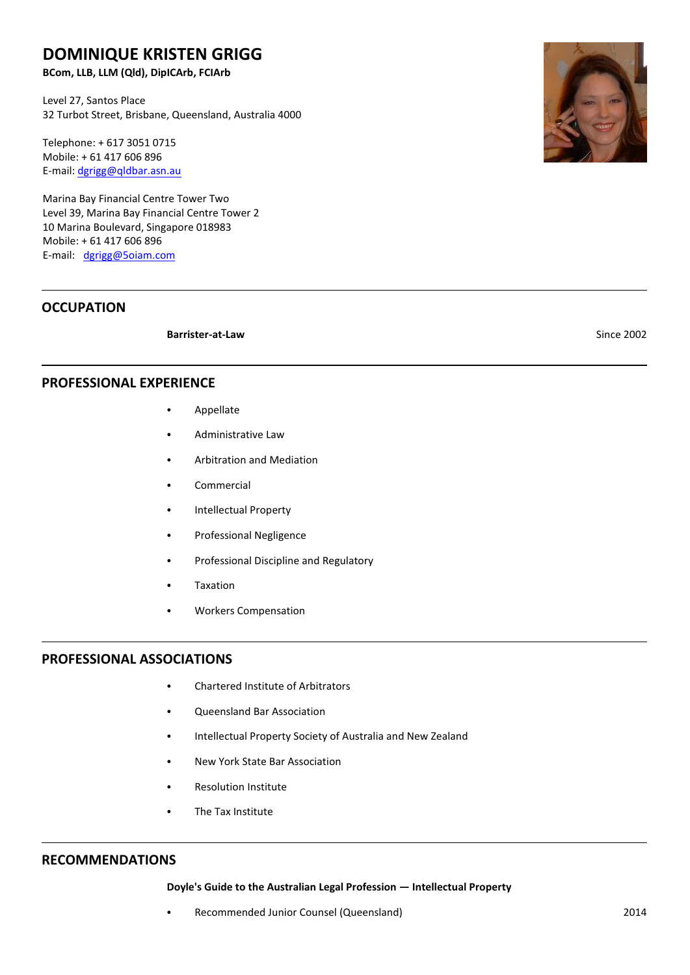# **DOMINIQUE KRISTEN GRIGG**

**BCom, LLB, LLM (Qld), DipICArb, FCIArb**

Level 27, Santos Place 32 Turbot Street, Brisbane, Queensland, Australia 4000

Telephone: + 617 3051 0715 Mobile: + 61 417 606 896 E-mail: [dgrigg@qldbar.asn.au](mailto:dgrigg@qldbar.asn.au)

Marina Bay Financial Centre Tower Two Level 39, Marina Bay Financial Centre Tower 2 10 Marina Boulevard, Singapore 018983 Mobile: + 61 417 606 896 E-mail: [dgrigg@5oiam.com](mailto:dgrigg@qldbar.asn.au)

## **OCCUPATION**

**Barrister-at-Law** Since 2002

## **PROFESSIONAL EXPERIENCE**

- Appellate
- Administrative Law
- **Arbitration and Mediation**
- **Commercial**
- Intellectual Property
- Professional Negligence
- Professional Discipline and Regulatory
- **Taxation**
- Workers Compensation

#### **PROFESSIONAL ASSOCIATIONS**

- Chartered Institute of Arbitrators
- Queensland Bar Association
- Intellectual Property Society of Australia and New Zealand
- New York State Bar Association
- Resolution Institute
- The Tax Institute

### **RECOMMENDATIONS**

#### **Doyle's Guide to the Australian Legal Profession — Intellectual Property**

Recommended Junior Counsel (Queensland) 2014

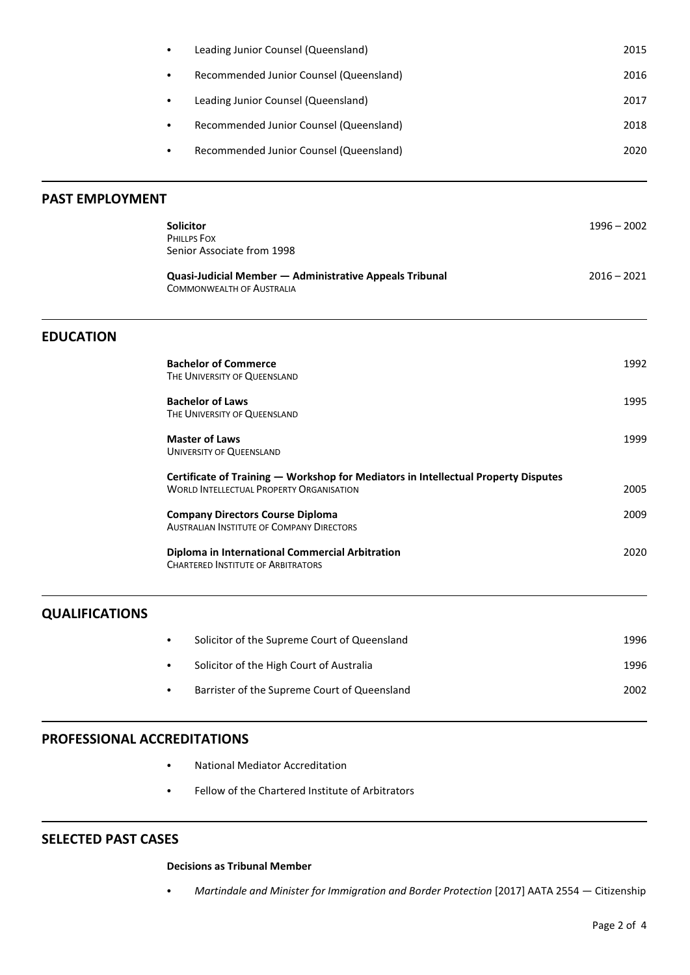|                        | Leading Junior Counsel (Queensland)<br>$\bullet$                                                                                      | 2015          |
|------------------------|---------------------------------------------------------------------------------------------------------------------------------------|---------------|
|                        | Recommended Junior Counsel (Queensland)<br>$\bullet$                                                                                  | 2016          |
|                        | Leading Junior Counsel (Queensland)<br>$\bullet$                                                                                      | 2017          |
|                        | Recommended Junior Counsel (Queensland)<br>$\bullet$                                                                                  | 2018          |
|                        | Recommended Junior Counsel (Queensland)<br>$\bullet$                                                                                  | 2020          |
| <b>PAST EMPLOYMENT</b> |                                                                                                                                       |               |
|                        | Solicitor<br>PHILLPS FOX<br>Senior Associate from 1998                                                                                | $1996 - 2002$ |
|                        | Quasi-Judicial Member - Administrative Appeals Tribunal<br><b>COMMONWEALTH OF AUSTRALIA</b>                                           | $2016 - 2021$ |
| <b>EDUCATION</b>       |                                                                                                                                       |               |
|                        | <b>Bachelor of Commerce</b><br>THE UNIVERSITY OF QUEENSLAND                                                                           | 1992          |
|                        | <b>Bachelor of Laws</b><br>THE UNIVERSITY OF QUEENSLAND                                                                               | 1995          |
|                        | <b>Master of Laws</b><br><b>UNIVERSITY OF QUEENSLAND</b>                                                                              | 1999          |
|                        | Certificate of Training - Workshop for Mediators in Intellectual Property Disputes<br><b>WORLD INTELLECTUAL PROPERTY ORGANISATION</b> | 2005          |
|                        | <b>Company Directors Course Diploma</b><br><b>AUSTRALIAN INSTITUTE OF COMPANY DIRECTORS</b>                                           | 2009          |
|                        | Diploma in International Commercial Arbitration<br><b>CHARTERED INSTITUTE OF ARBITRATORS</b>                                          | 2020          |
| <b>QUALIFICATIONS</b>  |                                                                                                                                       |               |
|                        | Solicitor of the Supreme Court of Queensland<br>$\bullet$                                                                             | 1996          |
|                        | Solicitor of the High Court of Australia<br>٠                                                                                         | 1996          |

• Barrister of the Supreme Court of Queensland 2002

## **PROFESSIONAL ACCREDITATIONS**

- National Mediator Accreditation
- Fellow of the Chartered Institute of Arbitrators

## **SELECTED PAST CASES**

## **Decisions as Tribunal Member**

• Martindale and Minister for Immigration and Border Protection [2017] AATA 2554 — Citizenship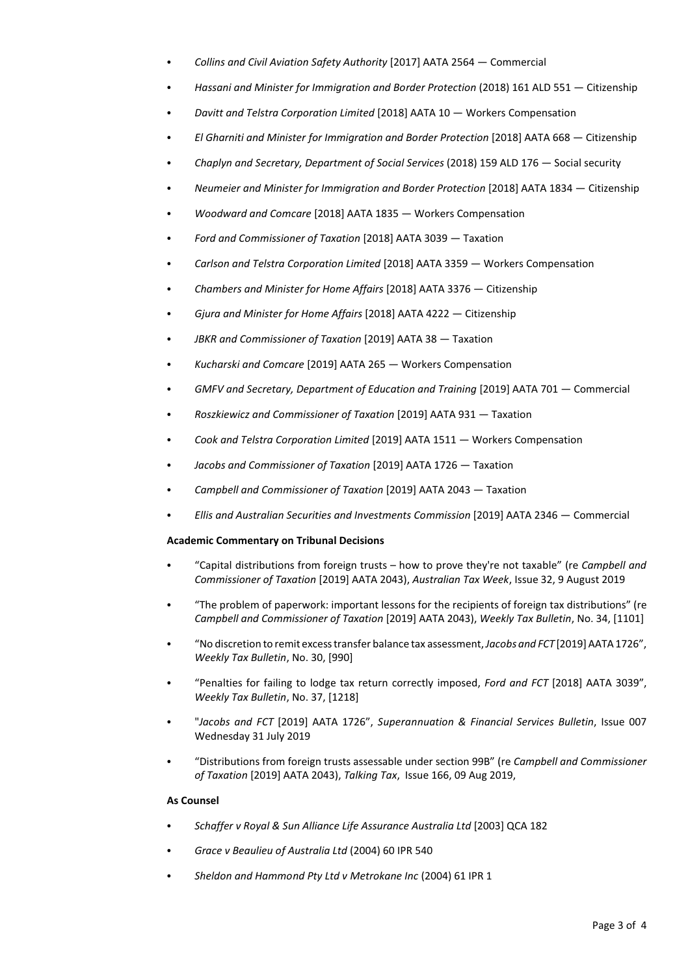- C *Collins and Civil Aviation Safety Authority* [2017] AATA 2564 Commercial
- C *Hassani and Minister for Immigration and Border Protection* (2018) 161 ALD 551 Citizenship
- C *Davitt and Telstra Corporation Limited* [2018] AATA 10 Workers Compensation
- C *El Gharniti and Minister for Immigration and Border Protection* [2018] AATA 668 Citizenship
- C *Chaplyn and Secretary, Department of Social Services* (2018) 159 ALD 176 Social security
- C *Neumeier and Minister for Immigration and Border Protection* [2018] AATA 1834 Citizenship
- C *Woodward and Comcare* [2018] AATA 1835 Workers Compensation
- C *Ford and Commissioner of Taxation* [2018] AATA 3039 Taxation
- C *Carlson and Telstra Corporation Limited* [2018] AATA 3359 Workers Compensation
- C *Chambers and Minister for Home Affairs* [2018] AATA 3376 Citizenship
- C *Gjura and Minister for Home Affairs* [2018] AATA 4222 Citizenship
- *C JBKR and Commissioner of Taxation* [2019] AATA 38 Taxation
- C *Kucharski and Comcare* [2019] AATA 265 Workers Compensation
- C *GMFV and Secretary, Department of Education and Training* [2019] AATA 701 Commercial
- C *Roszkiewicz and Commissioner of Taxation* [2019] AATA 931 Taxation
- Cook and Telstra Corporation Limited [2019] AATA 1511 Workers Compensation
- C *Jacobs and Commissioner of Taxation* [2019] AATA 1726 Taxation
- C *Campbell and Commissioner of Taxation* [2019] AATA 2043 Taxation
- C *Ellis and Australian Securities and Investments Commission* [2019] AATA 2346 Commercial

## **Academic Commentary on Tribunal Decisions**

- "Capital distributions from foreign trusts how to prove they're not taxable" (re *Campbell and Commissioner of Taxation* [2019] AATA 2043), *Australian Tax Week*, Issue 32, 9 August 2019
- "The problem of paperwork: important lessons for the recipients of foreign tax distributions" (re *Campbell and Commissioner of Taxation* [2019] AATA 2043), *Weekly Tax Bulletin*, No. 34, [1101]
- C "No discretion to remit excesstransfer balance tax assessment, *Jacobs and FCT* [2019]AATA 1726", *Weekly Tax Bulletin*, No. 30, [990]
- C "Penalties for failing to lodge tax return correctly imposed, *Ford and FCT* [2018] AATA 3039", *Weekly Tax Bulletin*, No. 37, [1218]
- C "*Jacobs and FCT* [2019] AATA 1726", *Superannuation & Financial Services Bulletin*, Issue 007 Wednesday 31 July 2019
- C "Distributions from foreign trusts assessable under section 99B" (re *Campbell and Commissioner of Taxation* [2019] AATA 2043), *Talking Tax*, Issue 166, 09 Aug 2019,

## **As Counsel**

- C *Schaffer v Royal & Sun Alliance Life Assurance Australia Ltd* [2003] QCA 182
- Grace v Beaulieu of Australia Ltd (2004) 60 IPR 540
- C *Sheldon and Hammond Pty Ltd v Metrokane Inc* (2004) 61 IPR 1